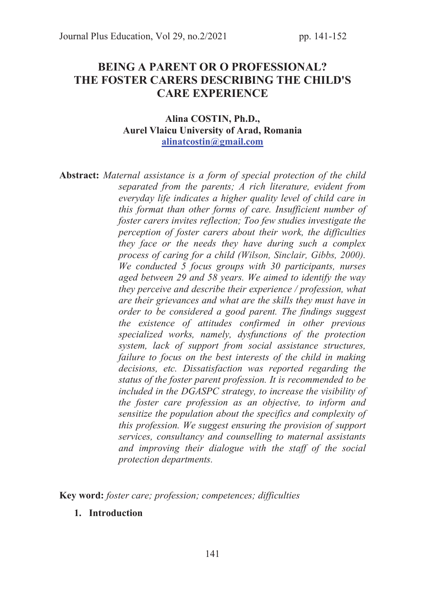# BEING A PARENT OR O PROFESSIONAL? THE FOSTER CARERS DESCRIBING THE CHILD'S CARE EXPERIENCE

#### Alina COSTIN, Ph.D., Aurel Vlaicu University of Arad, Romania alinatcostin@gmail.com

Abstract: *Maternal assistance is a form of special protection of the child separated from the parents; A rich literature, evident from everyday life indicates a higher quality level of child care in this format than other forms of care. Insufficient number of foster carers invites reflection; Too few studies investigate the perception of foster carers about their work, the difficulties they face or the needs they have during such a complex process of caring for a child (Wilson, Sinclair, Gibbs, 2000). We conducted 5 focus groups with 30 participants, nurses aged between 29 and 58 years. We aimed to identify the way they perceive and describe their experience / profession, what are their grievances and what are the skills they must have in order to be considered a good parent. The findings suggest the existence of attitudes confirmed in other previous specialized works, namely, dysfunctions of the protection system, lack of support from social assistance structures, failure to focus on the best interests of the child in making decisions, etc. Dissatisfaction was reported regarding the status of the foster parent profession. It is recommended to be included in the DGASPC strategy, to increase the visibility of the foster care profession as an objective, to inform and sensitize the population about the specifics and complexity of this profession. We suggest ensuring the provision of support services, consultancy and counselling to maternal assistants and improving their dialogue with the staff of the social protection departments.* 

Key word: *foster care; profession; competences; difficulties* 

1. Introduction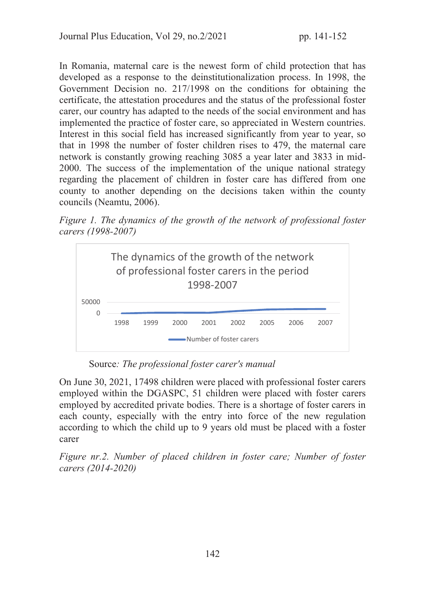In Romania, maternal care is the newest form of child protection that has developed as a response to the deinstitutionalization process. In 1998, the Government Decision no. 217/1998 on the conditions for obtaining the certificate, the attestation procedures and the status of the professional foster carer, our country has adapted to the needs of the social environment and has implemented the practice of foster care, so appreciated in Western countries. Interest in this social field has increased significantly from year to year, so that in 1998 the number of foster children rises to 479, the maternal care network is constantly growing reaching 3085 a year later and 3833 in mid-2000. The success of the implementation of the unique national strategy regarding the placement of children in foster care has differed from one county to another depending on the decisions taken within the county councils (Neamtu, 2006).

*Figure 1. The dynamics of the growth of the network of professional foster carers (1998-2007)* 



Source*: The professional foster carer's manual* 

On June 30, 2021, 17498 children were placed with professional foster carers employed within the DGASPC, 51 children were placed with foster carers employed by accredited private bodies. There is a shortage of foster carers in each county, especially with the entry into force of the new regulation according to which the child up to 9 years old must be placed with a foster carer

*Figure nr.2. Number of placed children in foster care; Number of foster carers (2014-2020)*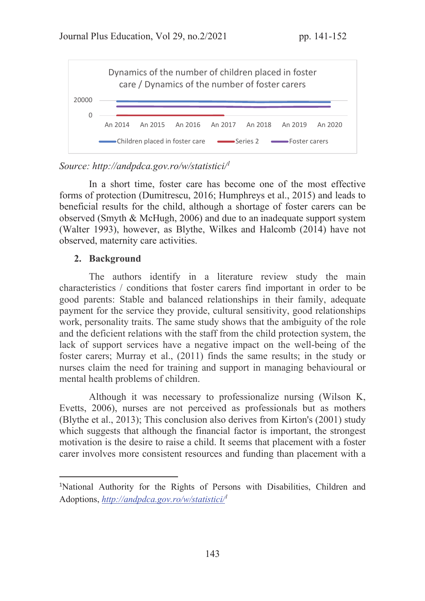

### *Source: http://andpdca.gov.ro/w/statistici/<sup>1</sup>*

In a short time, foster care has become one of the most effective forms of protection (Dumitrescu, 2016; Humphreys et al., 2015) and leads to beneficial results for the child, although a shortage of foster carers can be observed (Smyth & McHugh, 2006) and due to an inadequate support system (Walter 1993), however, as Blythe, Wilkes and Halcomb (2014) have not observed, maternity care activities.

#### 2. Background

The authors identify in a literature review study the main characteristics / conditions that foster carers find important in order to be good parents: Stable and balanced relationships in their family, adequate payment for the service they provide, cultural sensitivity, good relationships work, personality traits. The same study shows that the ambiguity of the role and the deficient relations with the staff from the child protection system, the lack of support services have a negative impact on the well-being of the foster carers; Murray et al., (2011) finds the same results; in the study or nurses claim the need for training and support in managing behavioural or mental health problems of children.

Although it was necessary to professionalize nursing (Wilson K, Evetts, 2006), nurses are not perceived as professionals but as mothers (Blythe et al., 2013); This conclusion also derives from Kirton's (2001) study which suggests that although the financial factor is important, the strongest motivation is the desire to raise a child. It seems that placement with a foster carer involves more consistent resources and funding than placement with a

<sup>&</sup>lt;sup>1</sup>National Authority for the Rights of Persons with Disabilities, Children and Adoptions, *http://andpdca.gov.ro/w/statistici/<sup>1</sup>*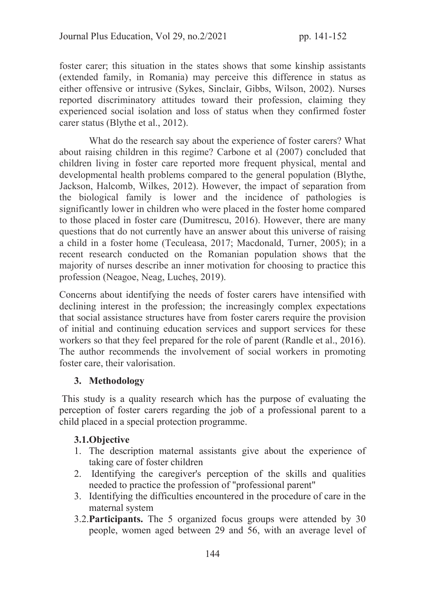foster carer; this situation in the states shows that some kinship assistants (extended family, in Romania) may perceive this difference in status as either offensive or intrusive (Sykes, Sinclair, Gibbs, Wilson, 2002). Nurses reported discriminatory attitudes toward their profession, claiming they experienced social isolation and loss of status when they confirmed foster carer status (Blythe et al., 2012).

 What do the research say about the experience of foster carers? What about raising children in this regime? Carbone et al (2007) concluded that children living in foster care reported more frequent physical, mental and developmental health problems compared to the general population (Blythe, Jackson, Halcomb, Wilkes, 2012). However, the impact of separation from the biological family is lower and the incidence of pathologies is significantly lower in children who were placed in the foster home compared to those placed in foster care (Dumitrescu, 2016). However, there are many questions that do not currently have an answer about this universe of raising a child in a foster home (Teculeasa, 2017; Macdonald, Turner, 2005); in a recent research conducted on the Romanian population shows that the majority of nurses describe an inner motivation for choosing to practice this profession (Neagoe, Neag, Lucheș, 2019).

Concerns about identifying the needs of foster carers have intensified with declining interest in the profession; the increasingly complex expectations that social assistance structures have from foster carers require the provision of initial and continuing education services and support services for these workers so that they feel prepared for the role of parent (Randle et al., 2016). The author recommends the involvement of social workers in promoting foster care, their valorisation.

### 3. Methodology

 This study is a quality research which has the purpose of evaluating the perception of foster carers regarding the job of a professional parent to a child placed in a special protection programme.

### 3.1.Objective

- 1. The description maternal assistants give about the experience of taking care of foster children
- 2. Identifying the caregiver's perception of the skills and qualities needed to practice the profession of "professional parent"
- 3. Identifying the difficulties encountered in the procedure of care in the maternal system
- 3.2.Participants. The 5 organized focus groups were attended by 30 people, women aged between 29 and 56, with an average level of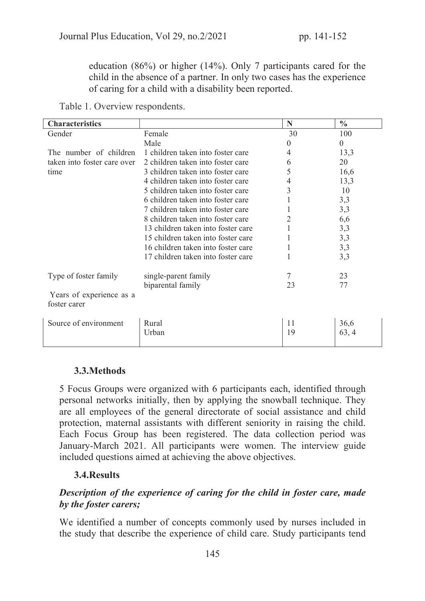education (86%) or higher (14%). Only 7 participants cared for the child in the absence of a partner. In only two cases has the experience of caring for a child with a disability been reported.

Table 1. Overview respondents.

| <b>Characteristics</b>                   |                                    | N  | $\frac{0}{0}$  |
|------------------------------------------|------------------------------------|----|----------------|
| Gender                                   | Female                             | 30 | 100            |
|                                          | Male                               | 0  | $\overline{0}$ |
| The number of children                   | 1 children taken into foster care  | 4  | 13,3           |
| taken into foster care over              | 2 children taken into foster care  | 6  | 20             |
| time                                     | 3 children taken into foster care  |    | 16,6           |
|                                          | 4 children taken into foster care  |    | 13,3           |
|                                          | 5 children taken into foster care  |    | 10             |
|                                          | 6 children taken into foster care  |    | 3,3            |
|                                          | 7 children taken into foster care  |    | 3,3            |
|                                          | 8 children taken into foster care  |    | 6,6            |
|                                          | 13 children taken into foster care |    | 3,3            |
|                                          | 15 children taken into foster care |    | 3,3            |
|                                          | 16 children taken into foster care | 1  | 3,3            |
|                                          | 17 children taken into foster care |    | 3,3            |
| Type of foster family                    | single-parent family               |    | 23             |
|                                          | biparental family                  | 23 | 77             |
| Years of experience as a<br>foster carer |                                    |    |                |
| Source of environment                    | Rural                              | 11 | 36,6           |
|                                          | Urban                              | 19 | 63, 4          |

### 3.3.Methods

5 Focus Groups were organized with 6 participants each, identified through personal networks initially, then by applying the snowball technique. They are all employees of the general directorate of social assistance and child protection, maternal assistants with different seniority in raising the child. Each Focus Group has been registered. The data collection period was January-March 2021. All participants were women. The interview guide included questions aimed at achieving the above objectives.

### 3.4.Results

# Description of the experience of caring for the child in foster care, made by the foster carers;

We identified a number of concepts commonly used by nurses included in the study that describe the experience of child care. Study participants tend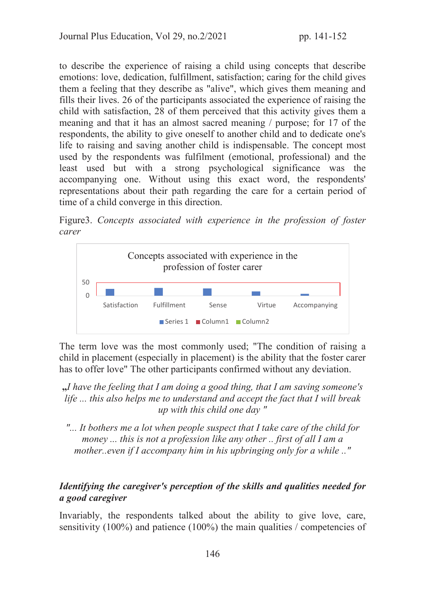to describe the experience of raising a child using concepts that describe emotions: love, dedication, fulfillment, satisfaction; caring for the child gives them a feeling that they describe as "alive", which gives them meaning and fills their lives. 26 of the participants associated the experience of raising the child with satisfaction, 28 of them perceived that this activity gives them a meaning and that it has an almost sacred meaning / purpose; for 17 of the respondents, the ability to give oneself to another child and to dedicate one's life to raising and saving another child is indispensable. The concept most used by the respondents was fulfilment (emotional, professional) and the least used but with a strong psychological significance was the accompanying one. Without using this exact word, the respondents' representations about their path regarding the care for a certain period of time of a child converge in this direction.

Figure3. *Concepts associated with experience in the profession of foster carer* 



The term love was the most commonly used; "The condition of raising a child in placement (especially in placement) is the ability that the foster carer has to offer love" The other participants confirmed without any deviation.

"*I have the feeling that I am doing a good thing, that I am saving someone's life ... this also helps me to understand and accept the fact that I will break up with this child one day "* 

*"... It bothers me a lot when people suspect that I take care of the child for money ... this is not a profession like any other .. first of all I am a mother..even if I accompany him in his upbringing only for a while .."* 

# Identifying the caregiver's perception of the skills and qualities needed for a good caregiver

Invariably, the respondents talked about the ability to give love, care, sensitivity (100%) and patience (100%) the main qualities / competencies of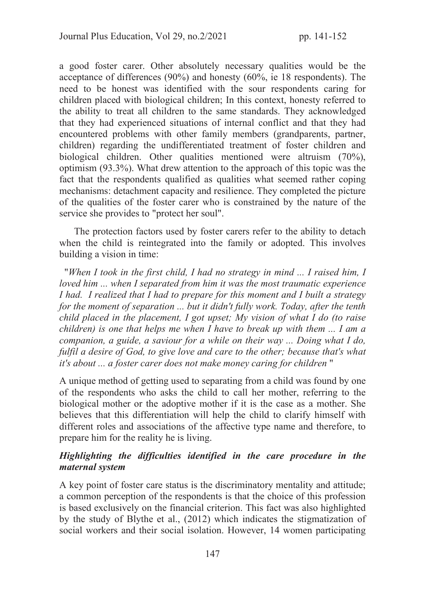a good foster carer. Other absolutely necessary qualities would be the acceptance of differences (90%) and honesty (60%, ie 18 respondents). The need to be honest was identified with the sour respondents caring for children placed with biological children; In this context, honesty referred to the ability to treat all children to the same standards. They acknowledged that they had experienced situations of internal conflict and that they had encountered problems with other family members (grandparents, partner, children) regarding the undifferentiated treatment of foster children and biological children. Other qualities mentioned were altruism (70%), optimism (93.3%). What drew attention to the approach of this topic was the fact that the respondents qualified as qualities what seemed rather coping mechanisms: detachment capacity and resilience. They completed the picture of the qualities of the foster carer who is constrained by the nature of the service she provides to "protect her soul".

The protection factors used by foster carers refer to the ability to detach when the child is reintegrated into the family or adopted. This involves building a vision in time:

 "*When I took in the first child, I had no strategy in mind ... I raised him, I loved him ... when I separated from him it was the most traumatic experience I had. I realized that I had to prepare for this moment and I built a strategy for the moment of separation ... but it didn't fully work. Today, after the tenth child placed in the placement, I got upset; My vision of what I do (to raise children) is one that helps me when I have to break up with them ... I am a companion, a guide, a saviour for a while on their way ... Doing what I do, fulfil a desire of God, to give love and care to the other; because that's what it's about ... a foster carer does not make money caring for children* "

A unique method of getting used to separating from a child was found by one of the respondents who asks the child to call her mother, referring to the biological mother or the adoptive mother if it is the case as a mother. She believes that this differentiation will help the child to clarify himself with different roles and associations of the affective type name and therefore, to prepare him for the reality he is living.

### Highlighting the difficulties identified in the care procedure in the maternal system

A key point of foster care status is the discriminatory mentality and attitude; a common perception of the respondents is that the choice of this profession is based exclusively on the financial criterion. This fact was also highlighted by the study of Blythe et al., (2012) which indicates the stigmatization of social workers and their social isolation. However, 14 women participating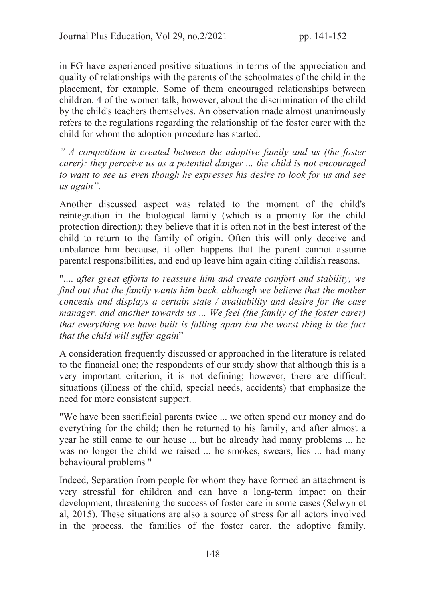in FG have experienced positive situations in terms of the appreciation and quality of relationships with the parents of the schoolmates of the child in the placement, for example. Some of them encouraged relationships between children. 4 of the women talk, however, about the discrimination of the child by the child's teachers themselves. An observation made almost unanimously refers to the regulations regarding the relationship of the foster carer with the child for whom the adoption procedure has started.

*" A competition is created between the adoptive family and us (the foster carer); they perceive us as a potential danger ... the child is not encouraged to want to see us even though he expresses his desire to look for us and see us again".* 

Another discussed aspect was related to the moment of the child's reintegration in the biological family (which is a priority for the child protection direction); they believe that it is often not in the best interest of the child to return to the family of origin. Often this will only deceive and unbalance him because, it often happens that the parent cannot assume parental responsibilities, and end up leave him again citing childish reasons.

".... *after great efforts to reassure him and create comfort and stability, we find out that the family wants him back, although we believe that the mother conceals and displays a certain state / availability and desire for the case manager, and another towards us ... We feel (the family of the foster carer) that everything we have built is falling apart but the worst thing is the fact that the child will suffer again*"

A consideration frequently discussed or approached in the literature is related to the financial one; the respondents of our study show that although this is a very important criterion, it is not defining; however, there are difficult situations (illness of the child, special needs, accidents) that emphasize the need for more consistent support.

"We have been sacrificial parents twice ... we often spend our money and do everything for the child; then he returned to his family, and after almost a year he still came to our house ... but he already had many problems ... he was no longer the child we raised ... he smokes, swears, lies ... had many behavioural problems "

Indeed, Separation from people for whom they have formed an attachment is very stressful for children and can have a long-term impact on their development, threatening the success of foster care in some cases (Selwyn et al, 2015). These situations are also a source of stress for all actors involved in the process, the families of the foster carer, the adoptive family.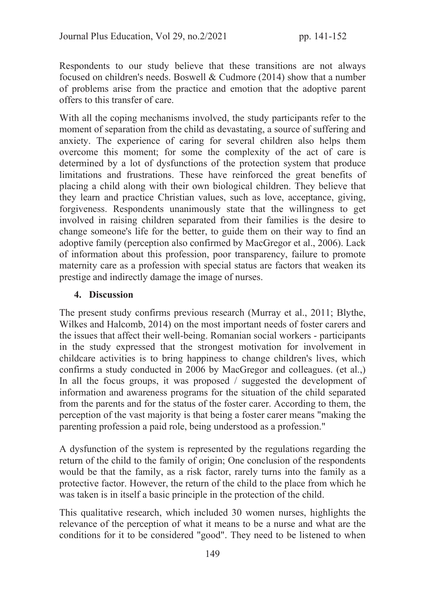Respondents to our study believe that these transitions are not always focused on children's needs. Boswell & Cudmore (2014) show that a number of problems arise from the practice and emotion that the adoptive parent offers to this transfer of care.

With all the coping mechanisms involved, the study participants refer to the moment of separation from the child as devastating, a source of suffering and anxiety. The experience of caring for several children also helps them overcome this moment; for some the complexity of the act of care is determined by a lot of dysfunctions of the protection system that produce limitations and frustrations. These have reinforced the great benefits of placing a child along with their own biological children. They believe that they learn and practice Christian values, such as love, acceptance, giving, forgiveness. Respondents unanimously state that the willingness to get involved in raising children separated from their families is the desire to change someone's life for the better, to guide them on their way to find an adoptive family (perception also confirmed by MacGregor et al., 2006). Lack of information about this profession, poor transparency, failure to promote maternity care as a profession with special status are factors that weaken its prestige and indirectly damage the image of nurses.

# 4. Discussion

The present study confirms previous research (Murray et al., 2011; Blythe, Wilkes and Halcomb, 2014) on the most important needs of foster carers and the issues that affect their well-being. Romanian social workers - participants in the study expressed that the strongest motivation for involvement in childcare activities is to bring happiness to change children's lives, which confirms a study conducted in 2006 by MacGregor and colleagues. (et al.,) In all the focus groups, it was proposed / suggested the development of information and awareness programs for the situation of the child separated from the parents and for the status of the foster carer. According to them, the perception of the vast majority is that being a foster carer means "making the parenting profession a paid role, being understood as a profession."

A dysfunction of the system is represented by the regulations regarding the return of the child to the family of origin; One conclusion of the respondents would be that the family, as a risk factor, rarely turns into the family as a protective factor. However, the return of the child to the place from which he was taken is in itself a basic principle in the protection of the child.

This qualitative research, which included 30 women nurses, highlights the relevance of the perception of what it means to be a nurse and what are the conditions for it to be considered "good". They need to be listened to when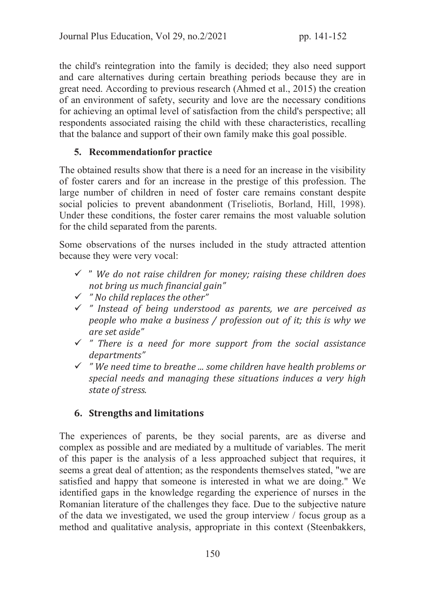the child's reintegration into the family is decided; they also need support and care alternatives during certain breathing periods because they are in great need. According to previous research (Ahmed et al., 2015) the creation of an environment of safety, security and love are the necessary conditions for achieving an optimal level of satisfaction from the child's perspective; all respondents associated raising the child with these characteristics, recalling that the balance and support of their own family make this goal possible.

# 5. Recommendationfor practice

The obtained results show that there is a need for an increase in the visibility of foster carers and for an increase in the prestige of this profession. The large number of children in need of foster care remains constant despite social policies to prevent abandonment (Triseliotis, Borland, Hill, 1998). Under these conditions, the foster carer remains the most valuable solution for the child separated from the parents.

Some observations of the nurses included in the study attracted attention because they were very vocal:

- $\checkmark$  " We do not raise children for money; raising these children does not bring us much financial gain"
- $\checkmark$  " No child replaces the other"
- $\checkmark$  " Instead of being understood as parents, we are perceived as people who make a business / profession out of it; this is why we are set aside"
- $\checkmark$  " There is a need for more support from the social assistance departments"
- $\checkmark$  "We need time to breathe ... some children have health problems or special needs and managing these situations induces a very high state of stress.

# 6. Strengths and limitations

The experiences of parents, be they social parents, are as diverse and complex as possible and are mediated by a multitude of variables. The merit of this paper is the analysis of a less approached subject that requires, it seems a great deal of attention; as the respondents themselves stated, "we are satisfied and happy that someone is interested in what we are doing." We identified gaps in the knowledge regarding the experience of nurses in the Romanian literature of the challenges they face. Due to the subjective nature of the data we investigated, we used the group interview / focus group as a method and qualitative analysis, appropriate in this context (Steenbakkers,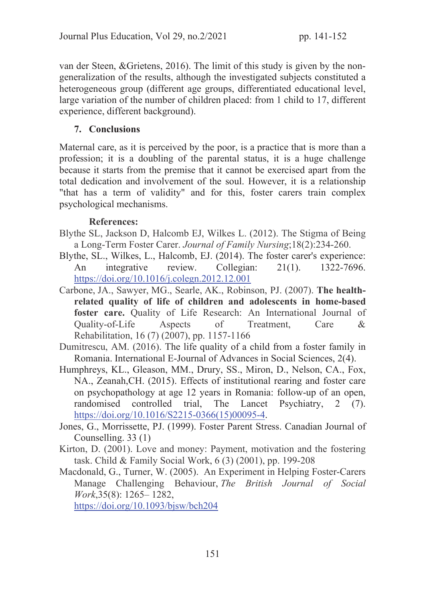van der Steen, &Grietens, 2016). The limit of this study is given by the nongeneralization of the results, although the investigated subjects constituted a heterogeneous group (different age groups, differentiated educational level, large variation of the number of children placed: from 1 child to 17, different experience, different background).

# 7. Conclusions

Maternal care, as it is perceived by the poor, is a practice that is more than a profession; it is a doubling of the parental status, it is a huge challenge because it starts from the premise that it cannot be exercised apart from the total dedication and involvement of the soul. However, it is a relationship "that has a term of validity" and for this, foster carers train complex psychological mechanisms.

# References:

- Blythe SL, Jackson D, Halcomb EJ, Wilkes L. (2012). The Stigma of Being a Long-Term Foster Carer. *Journal of Family Nursing*;18(2):234-260.
- Blythe, SL., Wilkes, L., Halcomb, EJ. (2014). The foster carer's experience: An integrative review. Collegian: 21(1). 1322-7696. https://doi.org/10.1016/j.colegn.2012.12.001
- Carbone, JA., Sawyer, MG., Searle, AK., Robinson, PJ. (2007). The healthrelated quality of life of children and adolescents in home-based foster care. Quality of Life Research: An International Journal of Quality-of-Life Aspects of Treatment, Care & Rehabilitation, 16 (7) (2007), pp. 1157-1166
- Dumitrescu, AM. (2016). The life quality of a child from a foster family in Romania. International E-Journal of Advances in Social Sciences, 2(4).
- Humphreys, KL., Gleason, MM., Drury, SS., Miron, D., Nelson, CA., Fox, NA., Zeanah,CH. (2015). Effects of institutional rearing and foster care on psychopathology at age 12 years in Romania: follow-up of an open, randomised controlled trial, The Lancet Psychiatry, 2 (7). https://doi.org/10.1016/S2215-0366(15)00095-4.
- Jones, G., Morrissette, PJ. (1999). Foster Parent Stress. Canadian Journal of Counselling. 33 (1)
- Kirton, D. (2001). Love and money: Payment, motivation and the fostering task. Child & Family Social Work, 6 (3) (2001), pp. 199-208
- Macdonald, G., Turner, W. (2005). An Experiment in Helping Foster-Carers Manage Challenging Behaviour, *The British Journal of Social Work*,35(8): 1265– 1282,

https://doi.org/10.1093/bjsw/bch204